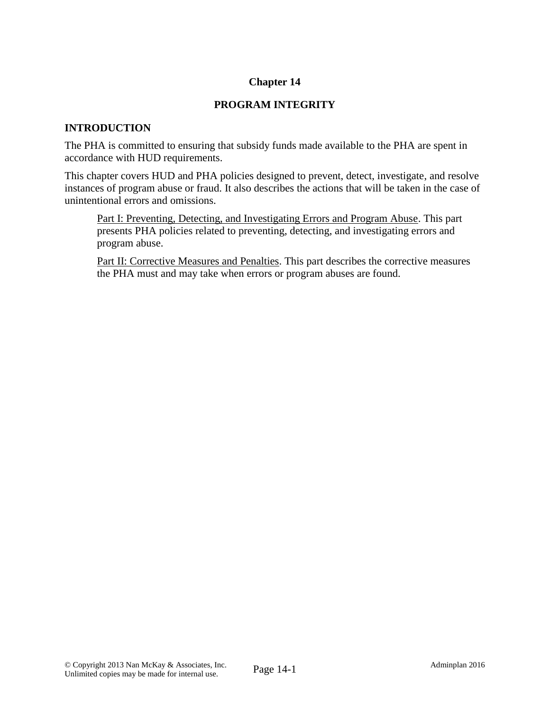# **Chapter 14**

# **PROGRAM INTEGRITY**

# **INTRODUCTION**

The PHA is committed to ensuring that subsidy funds made available to the PHA are spent in accordance with HUD requirements.

This chapter covers HUD and PHA policies designed to prevent, detect, investigate, and resolve instances of program abuse or fraud. It also describes the actions that will be taken in the case of unintentional errors and omissions.

Part I: Preventing, Detecting, and Investigating Errors and Program Abuse. This part presents PHA policies related to preventing, detecting, and investigating errors and program abuse.

Part II: Corrective Measures and Penalties. This part describes the corrective measures the PHA must and may take when errors or program abuses are found.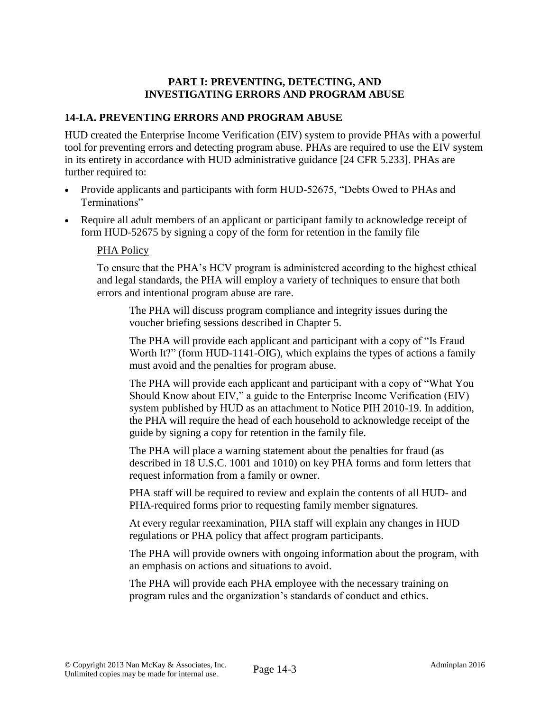## **PART I: PREVENTING, DETECTING, AND INVESTIGATING ERRORS AND PROGRAM ABUSE**

# **14-I.A. PREVENTING ERRORS AND PROGRAM ABUSE**

HUD created the Enterprise Income Verification (EIV) system to provide PHAs with a powerful tool for preventing errors and detecting program abuse. PHAs are required to use the EIV system in its entirety in accordance with HUD administrative guidance [24 CFR 5.233]. PHAs are further required to:

- Provide applicants and participants with form HUD-52675, "Debts Owed to PHAs and Terminations"
- Require all adult members of an applicant or participant family to acknowledge receipt of form HUD-52675 by signing a copy of the form for retention in the family file

#### PHA Policy

To ensure that the PHA's HCV program is administered according to the highest ethical and legal standards, the PHA will employ a variety of techniques to ensure that both errors and intentional program abuse are rare.

The PHA will discuss program compliance and integrity issues during the voucher briefing sessions described in Chapter 5.

The PHA will provide each applicant and participant with a copy of "Is Fraud Worth It?" (form HUD-1141-OIG), which explains the types of actions a family must avoid and the penalties for program abuse.

The PHA will provide each applicant and participant with a copy of "What You Should Know about EIV," a guide to the Enterprise Income Verification (EIV) system published by HUD as an attachment to Notice PIH 2010-19. In addition, the PHA will require the head of each household to acknowledge receipt of the guide by signing a copy for retention in the family file.

The PHA will place a warning statement about the penalties for fraud (as described in 18 U.S.C. 1001 and 1010) on key PHA forms and form letters that request information from a family or owner.

PHA staff will be required to review and explain the contents of all HUD- and PHA-required forms prior to requesting family member signatures.

At every regular reexamination, PHA staff will explain any changes in HUD regulations or PHA policy that affect program participants.

The PHA will provide owners with ongoing information about the program, with an emphasis on actions and situations to avoid.

The PHA will provide each PHA employee with the necessary training on program rules and the organization's standards of conduct and ethics.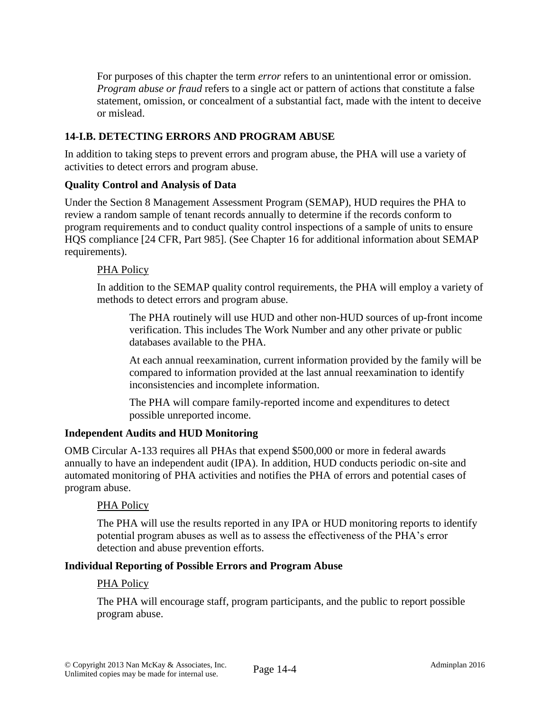For purposes of this chapter the term *error* refers to an unintentional error or omission. *Program abuse or fraud* refers to a single act or pattern of actions that constitute a false statement, omission, or concealment of a substantial fact, made with the intent to deceive or mislead.

# **14-I.B. DETECTING ERRORS AND PROGRAM ABUSE**

In addition to taking steps to prevent errors and program abuse, the PHA will use a variety of activities to detect errors and program abuse.

### **Quality Control and Analysis of Data**

Under the Section 8 Management Assessment Program (SEMAP), HUD requires the PHA to review a random sample of tenant records annually to determine if the records conform to program requirements and to conduct quality control inspections of a sample of units to ensure HQS compliance [24 CFR, Part 985]. (See Chapter 16 for additional information about SEMAP requirements).

### PHA Policy

In addition to the SEMAP quality control requirements, the PHA will employ a variety of methods to detect errors and program abuse.

The PHA routinely will use HUD and other non-HUD sources of up-front income verification. This includes The Work Number and any other private or public databases available to the PHA.

At each annual reexamination, current information provided by the family will be compared to information provided at the last annual reexamination to identify inconsistencies and incomplete information.

The PHA will compare family-reported income and expenditures to detect possible unreported income.

# **Independent Audits and HUD Monitoring**

OMB Circular A-133 requires all PHAs that expend \$500,000 or more in federal awards annually to have an independent audit (IPA). In addition, HUD conducts periodic on-site and automated monitoring of PHA activities and notifies the PHA of errors and potential cases of program abuse.

#### PHA Policy

The PHA will use the results reported in any IPA or HUD monitoring reports to identify potential program abuses as well as to assess the effectiveness of the PHA's error detection and abuse prevention efforts.

#### **Individual Reporting of Possible Errors and Program Abuse**

#### PHA Policy

The PHA will encourage staff, program participants, and the public to report possible program abuse.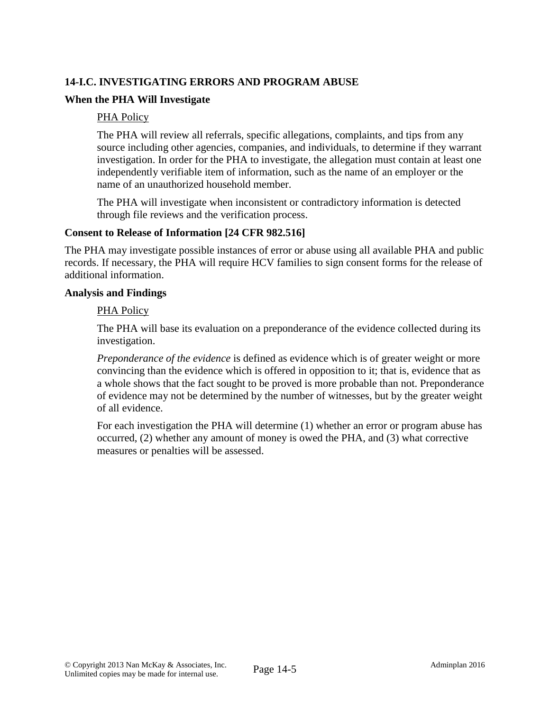# **14-I.C. INVESTIGATING ERRORS AND PROGRAM ABUSE**

## **When the PHA Will Investigate**

#### PHA Policy

The PHA will review all referrals, specific allegations, complaints, and tips from any source including other agencies, companies, and individuals, to determine if they warrant investigation. In order for the PHA to investigate, the allegation must contain at least one independently verifiable item of information, such as the name of an employer or the name of an unauthorized household member.

The PHA will investigate when inconsistent or contradictory information is detected through file reviews and the verification process.

#### **Consent to Release of Information [24 CFR 982.516]**

The PHA may investigate possible instances of error or abuse using all available PHA and public records. If necessary, the PHA will require HCV families to sign consent forms for the release of additional information.

#### **Analysis and Findings**

#### PHA Policy

The PHA will base its evaluation on a preponderance of the evidence collected during its investigation.

*Preponderance of the evidence* is defined as evidence which is of greater weight or more convincing than the evidence which is offered in opposition to it; that is, evidence that as a whole shows that the fact sought to be proved is more probable than not. Preponderance of evidence may not be determined by the number of witnesses, but by the greater weight of all evidence.

For each investigation the PHA will determine (1) whether an error or program abuse has occurred, (2) whether any amount of money is owed the PHA, and (3) what corrective measures or penalties will be assessed.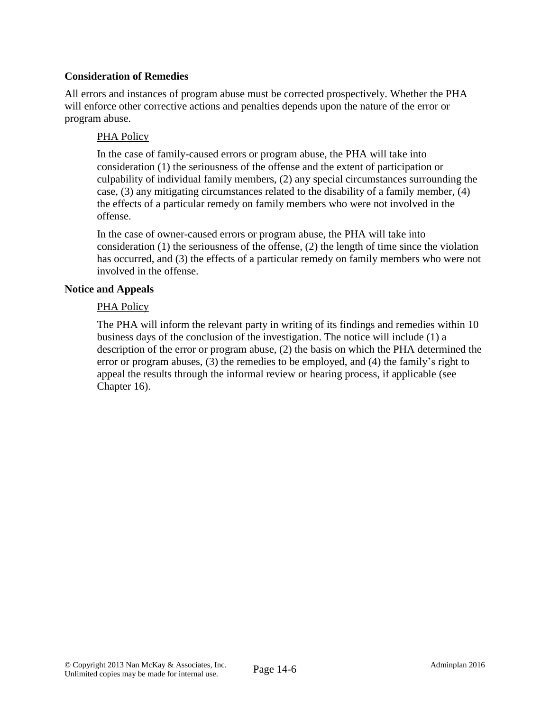## **Consideration of Remedies**

All errors and instances of program abuse must be corrected prospectively. Whether the PHA will enforce other corrective actions and penalties depends upon the nature of the error or program abuse.

### PHA Policy

In the case of family-caused errors or program abuse, the PHA will take into consideration (1) the seriousness of the offense and the extent of participation or culpability of individual family members, (2) any special circumstances surrounding the case, (3) any mitigating circumstances related to the disability of a family member, (4) the effects of a particular remedy on family members who were not involved in the offense.

In the case of owner-caused errors or program abuse, the PHA will take into consideration (1) the seriousness of the offense, (2) the length of time since the violation has occurred, and (3) the effects of a particular remedy on family members who were not involved in the offense.

#### **Notice and Appeals**

### PHA Policy

The PHA will inform the relevant party in writing of its findings and remedies within 10 business days of the conclusion of the investigation. The notice will include (1) a description of the error or program abuse, (2) the basis on which the PHA determined the error or program abuses, (3) the remedies to be employed, and (4) the family's right to appeal the results through the informal review or hearing process, if applicable (see Chapter 16).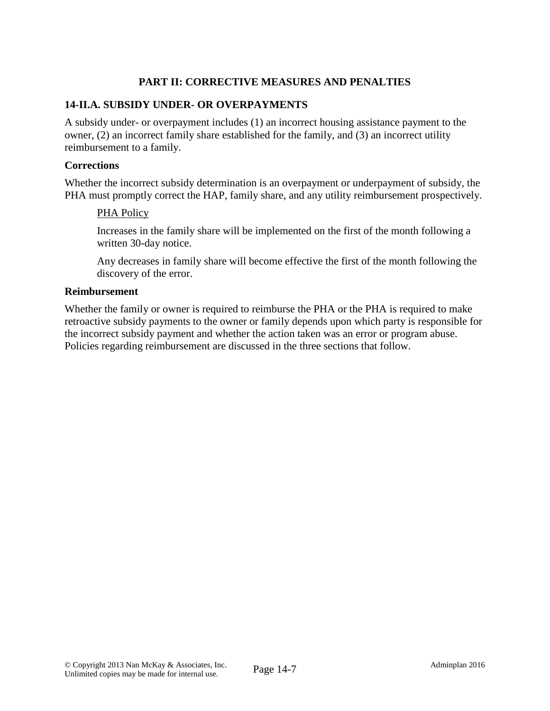# **PART II: CORRECTIVE MEASURES AND PENALTIES**

### **14-II.A. SUBSIDY UNDER- OR OVERPAYMENTS**

A subsidy under- or overpayment includes (1) an incorrect housing assistance payment to the owner, (2) an incorrect family share established for the family, and (3) an incorrect utility reimbursement to a family.

#### **Corrections**

Whether the incorrect subsidy determination is an overpayment or underpayment of subsidy, the PHA must promptly correct the HAP, family share, and any utility reimbursement prospectively.

#### PHA Policy

Increases in the family share will be implemented on the first of the month following a written 30-day notice.

Any decreases in family share will become effective the first of the month following the discovery of the error.

#### **Reimbursement**

Whether the family or owner is required to reimburse the PHA or the PHA is required to make retroactive subsidy payments to the owner or family depends upon which party is responsible for the incorrect subsidy payment and whether the action taken was an error or program abuse. Policies regarding reimbursement are discussed in the three sections that follow.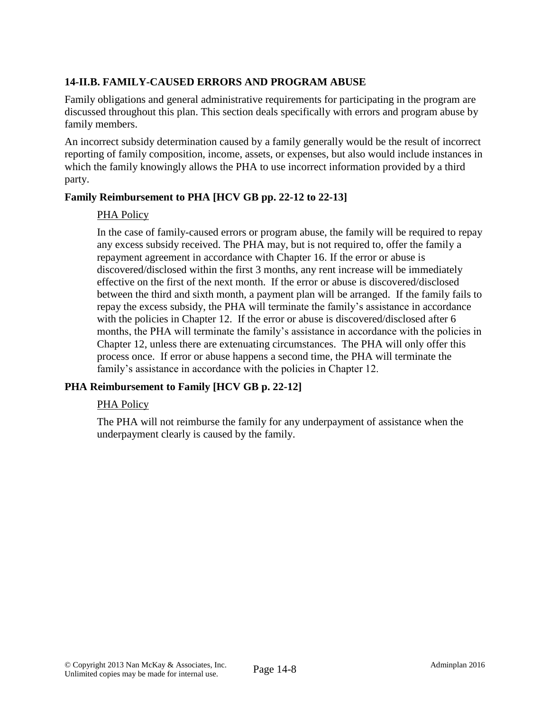# **14-II.B. FAMILY-CAUSED ERRORS AND PROGRAM ABUSE**

Family obligations and general administrative requirements for participating in the program are discussed throughout this plan. This section deals specifically with errors and program abuse by family members.

An incorrect subsidy determination caused by a family generally would be the result of incorrect reporting of family composition, income, assets, or expenses, but also would include instances in which the family knowingly allows the PHA to use incorrect information provided by a third party.

# **Family Reimbursement to PHA [HCV GB pp. 22-12 to 22-13]**

# PHA Policy

In the case of family-caused errors or program abuse, the family will be required to repay any excess subsidy received. The PHA may, but is not required to, offer the family a repayment agreement in accordance with Chapter 16. If the error or abuse is discovered/disclosed within the first 3 months, any rent increase will be immediately effective on the first of the next month. If the error or abuse is discovered/disclosed between the third and sixth month, a payment plan will be arranged. If the family fails to repay the excess subsidy, the PHA will terminate the family's assistance in accordance with the policies in Chapter 12. If the error or abuse is discovered/disclosed after 6 months, the PHA will terminate the family's assistance in accordance with the policies in Chapter 12, unless there are extenuating circumstances. The PHA will only offer this process once. If error or abuse happens a second time, the PHA will terminate the family's assistance in accordance with the policies in Chapter 12.

# **PHA Reimbursement to Family [HCV GB p. 22-12]**

# PHA Policy

The PHA will not reimburse the family for any underpayment of assistance when the underpayment clearly is caused by the family.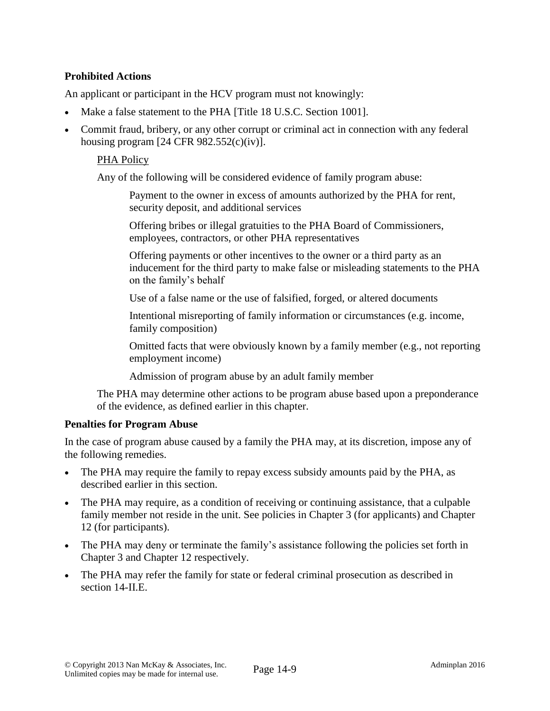# **Prohibited Actions**

An applicant or participant in the HCV program must not knowingly:

- Make a false statement to the PHA [Title 18 U.S.C. Section 1001].
- Commit fraud, bribery, or any other corrupt or criminal act in connection with any federal housing program  $[24 \text{ CFR } 982.552(c)(iv)].$

#### PHA Policy

Any of the following will be considered evidence of family program abuse:

Payment to the owner in excess of amounts authorized by the PHA for rent, security deposit, and additional services

Offering bribes or illegal gratuities to the PHA Board of Commissioners, employees, contractors, or other PHA representatives

Offering payments or other incentives to the owner or a third party as an inducement for the third party to make false or misleading statements to the PHA on the family's behalf

Use of a false name or the use of falsified, forged, or altered documents

Intentional misreporting of family information or circumstances (e.g. income, family composition)

Omitted facts that were obviously known by a family member (e.g., not reporting employment income)

Admission of program abuse by an adult family member

The PHA may determine other actions to be program abuse based upon a preponderance of the evidence, as defined earlier in this chapter.

#### **Penalties for Program Abuse**

In the case of program abuse caused by a family the PHA may, at its discretion, impose any of the following remedies.

- The PHA may require the family to repay excess subsidy amounts paid by the PHA, as described earlier in this section.
- The PHA may require, as a condition of receiving or continuing assistance, that a culpable family member not reside in the unit. See policies in Chapter 3 (for applicants) and Chapter 12 (for participants).
- The PHA may deny or terminate the family's assistance following the policies set forth in Chapter 3 and Chapter 12 respectively.
- The PHA may refer the family for state or federal criminal prosecution as described in section 14-II.E.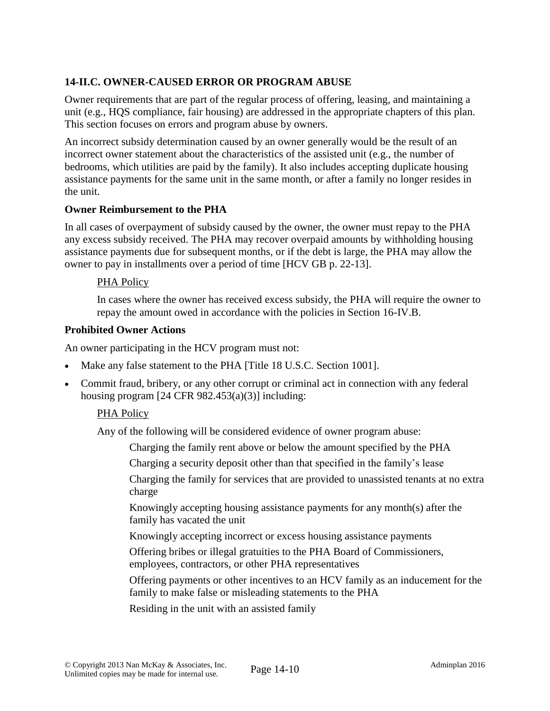# **14-II.C. OWNER-CAUSED ERROR OR PROGRAM ABUSE**

Owner requirements that are part of the regular process of offering, leasing, and maintaining a unit (e.g., HQS compliance, fair housing) are addressed in the appropriate chapters of this plan. This section focuses on errors and program abuse by owners.

An incorrect subsidy determination caused by an owner generally would be the result of an incorrect owner statement about the characteristics of the assisted unit (e.g., the number of bedrooms, which utilities are paid by the family). It also includes accepting duplicate housing assistance payments for the same unit in the same month, or after a family no longer resides in the unit.

#### **Owner Reimbursement to the PHA**

In all cases of overpayment of subsidy caused by the owner, the owner must repay to the PHA any excess subsidy received. The PHA may recover overpaid amounts by withholding housing assistance payments due for subsequent months, or if the debt is large, the PHA may allow the owner to pay in installments over a period of time [HCV GB p. 22-13].

#### PHA Policy

In cases where the owner has received excess subsidy, the PHA will require the owner to repay the amount owed in accordance with the policies in Section 16-IV.B.

#### **Prohibited Owner Actions**

An owner participating in the HCV program must not:

- Make any false statement to the PHA [Title 18 U.S.C. Section 1001].
- Commit fraud, bribery, or any other corrupt or criminal act in connection with any federal housing program  $[24 \text{ CFR } 982.453(a)(3)]$  including:

#### PHA Policy

Any of the following will be considered evidence of owner program abuse:

Charging the family rent above or below the amount specified by the PHA

Charging a security deposit other than that specified in the family's lease

Charging the family for services that are provided to unassisted tenants at no extra charge

Knowingly accepting housing assistance payments for any month(s) after the family has vacated the unit

Knowingly accepting incorrect or excess housing assistance payments

Offering bribes or illegal gratuities to the PHA Board of Commissioners, employees, contractors, or other PHA representatives

Offering payments or other incentives to an HCV family as an inducement for the family to make false or misleading statements to the PHA

Residing in the unit with an assisted family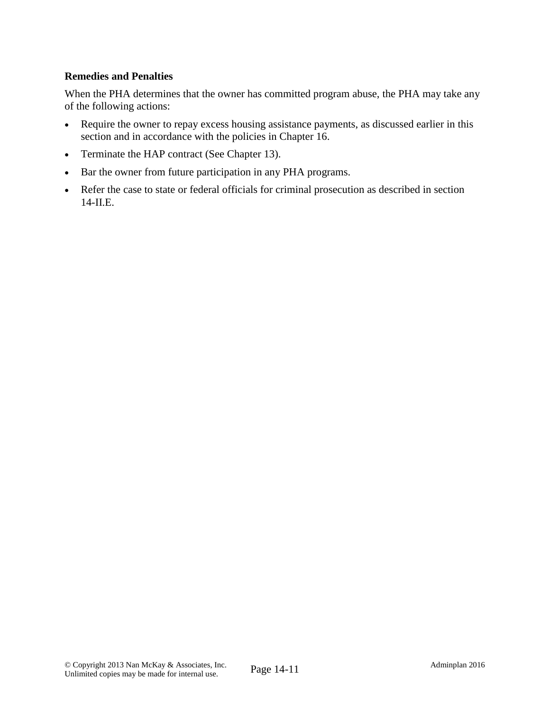## **Remedies and Penalties**

When the PHA determines that the owner has committed program abuse, the PHA may take any of the following actions:

- Require the owner to repay excess housing assistance payments, as discussed earlier in this section and in accordance with the policies in Chapter 16.
- Terminate the HAP contract (See Chapter 13).
- Bar the owner from future participation in any PHA programs.
- Refer the case to state or federal officials for criminal prosecution as described in section 14-II.E.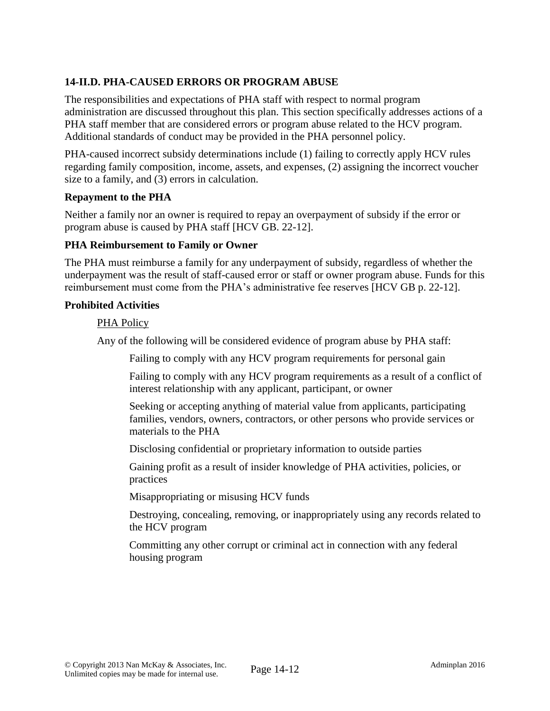# **14-II.D. PHA-CAUSED ERRORS OR PROGRAM ABUSE**

The responsibilities and expectations of PHA staff with respect to normal program administration are discussed throughout this plan. This section specifically addresses actions of a PHA staff member that are considered errors or program abuse related to the HCV program. Additional standards of conduct may be provided in the PHA personnel policy.

PHA-caused incorrect subsidy determinations include (1) failing to correctly apply HCV rules regarding family composition, income, assets, and expenses, (2) assigning the incorrect voucher size to a family, and (3) errors in calculation.

#### **Repayment to the PHA**

Neither a family nor an owner is required to repay an overpayment of subsidy if the error or program abuse is caused by PHA staff [HCV GB. 22-12].

### **PHA Reimbursement to Family or Owner**

The PHA must reimburse a family for any underpayment of subsidy, regardless of whether the underpayment was the result of staff-caused error or staff or owner program abuse. Funds for this reimbursement must come from the PHA's administrative fee reserves [HCV GB p. 22-12].

#### **Prohibited Activities**

#### PHA Policy

Any of the following will be considered evidence of program abuse by PHA staff:

Failing to comply with any HCV program requirements for personal gain

Failing to comply with any HCV program requirements as a result of a conflict of interest relationship with any applicant, participant, or owner

Seeking or accepting anything of material value from applicants, participating families, vendors, owners, contractors, or other persons who provide services or materials to the PHA

Disclosing confidential or proprietary information to outside parties

Gaining profit as a result of insider knowledge of PHA activities, policies, or practices

Misappropriating or misusing HCV funds

Destroying, concealing, removing, or inappropriately using any records related to the HCV program

Committing any other corrupt or criminal act in connection with any federal housing program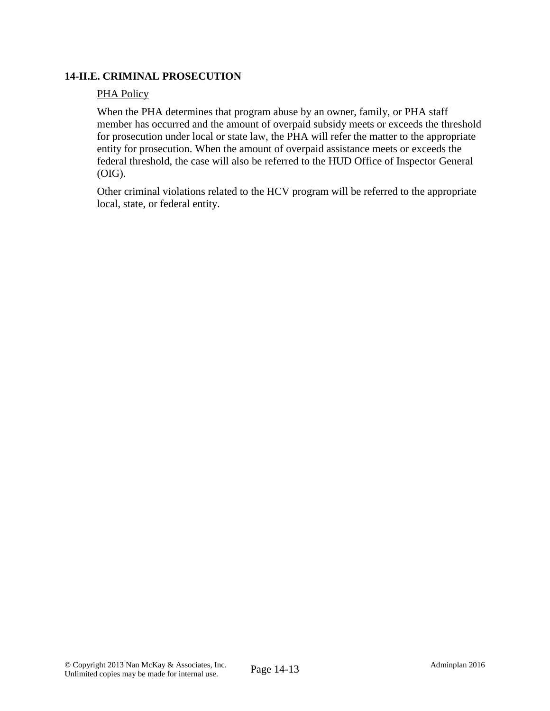## **14-II.E. CRIMINAL PROSECUTION**

#### PHA Policy

When the PHA determines that program abuse by an owner, family, or PHA staff member has occurred and the amount of overpaid subsidy meets or exceeds the threshold for prosecution under local or state law, the PHA will refer the matter to the appropriate entity for prosecution. When the amount of overpaid assistance meets or exceeds the federal threshold, the case will also be referred to the HUD Office of Inspector General (OIG).

Other criminal violations related to the HCV program will be referred to the appropriate local, state, or federal entity.